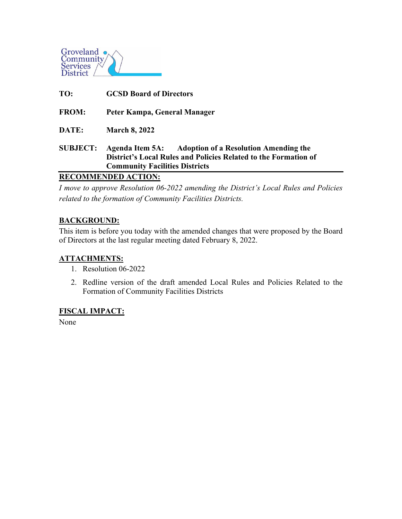

| TO:                        | <b>GCSD Board of Directors</b>                                                                                                                                    |
|----------------------------|-------------------------------------------------------------------------------------------------------------------------------------------------------------------|
| <b>FROM:</b>               | Peter Kampa, General Manager                                                                                                                                      |
| DATE:                      | <b>March 8, 2022</b>                                                                                                                                              |
| <b>SUBJECT:</b>            | Agenda Item 5A: Adoption of a Resolution Amending the<br>District's Local Rules and Policies Related to the Formation of<br><b>Community Facilities Districts</b> |
| <b>RECOMMENDED ACTION:</b> |                                                                                                                                                                   |

*I move to approve Resolution 06-2022 amending the District's Local Rules and Policies related to the formation of Community Facilities Districts.*

# **BACKGROUND:**

This item is before you today with the amended changes that were proposed by the Board of Directors at the last regular meeting dated February 8, 2022.

### **ATTACHMENTS:**

- 1. Resolution 06-2022
- 2. Redline version of the draft amended Local Rules and Policies Related to the Formation of Community Facilities Districts

### **FISCAL IMPACT:**

None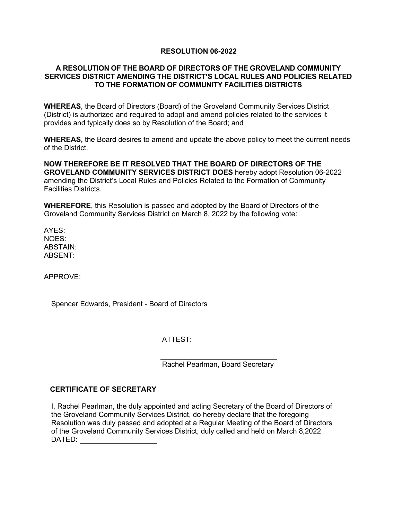### **RESOLUTION 06-2022**

### **A RESOLUTION OF THE BOARD OF DIRECTORS OF THE GROVELAND COMMUNITY SERVICES DISTRICT AMENDING THE DISTRICT'S LOCAL RULES AND POLICIES RELATED TO THE FORMATION OF COMMUNITY FACILITIES DISTRICTS**

**WHEREAS**, the Board of Directors (Board) of the Groveland Community Services District (District) is authorized and required to adopt and amend policies related to the services it provides and typically does so by Resolution of the Board; and

**WHEREAS,** the Board desires to amend and update the above policy to meet the current needs of the District.

**NOW THEREFORE BE IT RESOLVED THAT THE BOARD OF DIRECTORS OF THE GROVELAND COMMUNITY SERVICES DISTRICT DOES** hereby adopt Resolution 06-2022 amending the District's Local Rules and Policies Related to the Formation of Community Facilities Districts.

**WHEREFORE**, this Resolution is passed and adopted by the Board of Directors of the Groveland Community Services District on March 8, 2022 by the following vote:

AYES: NOES: ABSTAIN: ABSENT:

APPROVE:

Spencer Edwards, President - Board of Directors

ATTEST:

 $\frac{1}{\sqrt{2}}$  ,  $\frac{1}{\sqrt{2}}$  ,  $\frac{1}{\sqrt{2}}$  ,  $\frac{1}{\sqrt{2}}$  ,  $\frac{1}{\sqrt{2}}$  ,  $\frac{1}{\sqrt{2}}$  ,  $\frac{1}{\sqrt{2}}$  ,  $\frac{1}{\sqrt{2}}$  ,  $\frac{1}{\sqrt{2}}$  ,  $\frac{1}{\sqrt{2}}$  ,  $\frac{1}{\sqrt{2}}$  ,  $\frac{1}{\sqrt{2}}$  ,  $\frac{1}{\sqrt{2}}$  ,  $\frac{1}{\sqrt{2}}$  ,  $\frac{1}{\sqrt{2}}$ Rachel Pearlman, Board Secretary

### **CERTIFICATE OF SECRETARY**

I, Rachel Pearlman, the duly appointed and acting Secretary of the Board of Directors of the Groveland Community Services District, do hereby declare that the foregoing Resolution was duly passed and adopted at a Regular Meeting of the Board of Directors of the Groveland Community Services District, duly called and held on March 8,2022 DATED: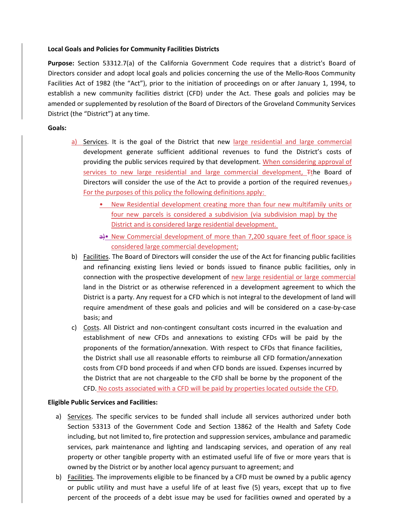#### **Local Goals and Policies for Community Facilities Districts**

**Purpose:** Section 53312.7(a) of the California Government Code requires that a district's Board of Directors consider and adopt local goals and policies concerning the use of the Mello‐Roos Community Facilities Act of 1982 (the "Act"), prior to the initiation of proceedings on or after January 1, 1994, to establish a new community facilities district (CFD) under the Act. These goals and policies may be amended or supplemented by resolution of the Board of Directors of the Groveland Community Services District (the "District") at any time.

#### **Goals:**

- a) Services. It is the goal of the District that new large residential and large commercial development generate sufficient additional revenues to fund the District's costs of providing the public services required by that development. When considering approval of services to new large residential and large commercial development, Tthe Board of Directors will consider the use of the Act to provide a portion of the required revenues $\frac{1}{2}$ For the purposes of this policy the following definitions apply:
	- New Residential development creating more than four new multifamily units or four new parcels is considered a subdivision (via subdivision map) by the District and is considered large residential development.
	- a)• New Commercial development of more than 7,200 square feet of floor space is considered large commercial development;
- b) Facilities. The Board of Directors will consider the use of the Act for financing public facilities and refinancing existing liens levied or bonds issued to finance public facilities, only in connection with the prospective development of new large residential or large commercial land in the District or as otherwise referenced in a development agreement to which the District is a party. Any request for a CFD which is not integral to the development of land will require amendment of these goals and policies and will be considered on a case‐by‐case basis; and
- c) Costs. All District and non‐contingent consultant costs incurred in the evaluation and establishment of new CFDs and annexations to existing CFDs will be paid by the proponents of the formation/annexation. With respect to CFDs that finance facilities, the District shall use all reasonable efforts to reimburse all CFD formation/annexation costs from CFD bond proceeds if and when CFD bonds are issued. Expenses incurred by the District that are not chargeable to the CFD shall be borne by the proponent of the CFD. No costs associated with a CFD will be paid by properties located outside the CFD.

#### **Eligible Public Services and Facilities:**

- a) Services. The specific services to be funded shall include all services authorized under both Section 53313 of the Government Code and Section 13862 of the Health and Safety Code including, but not limited to, fire protection and suppression services, ambulance and paramedic services, park maintenance and lighting and landscaping services, and operation of any real property or other tangible property with an estimated useful life of five or more years that is owned by the District or by another local agency pursuant to agreement; and
- b) Facilities. The improvements eligible to be financed by a CFD must be owned by a public agency or public utility and must have a useful life of at least five (5) years, except that up to five percent of the proceeds of a debt issue may be used for facilities owned and operated by a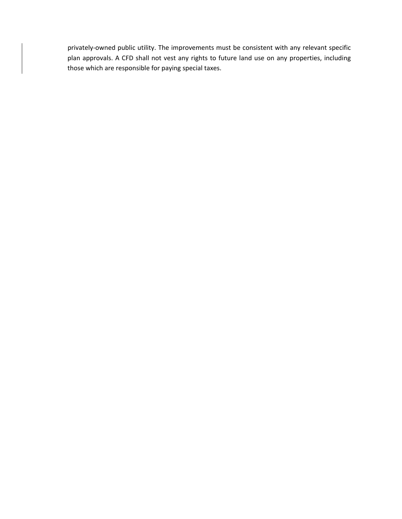privately-owned public utility. The improvements must be consistent with any relevant specific plan approvals. A CFD shall not vest any rights to future land use on any properties, including those which are responsible for paying special taxes.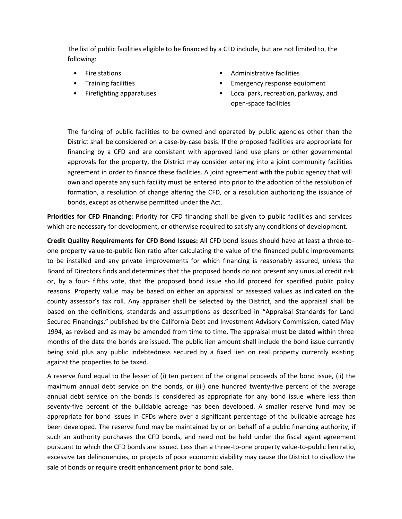The list of public facilities eligible to be financed by a CFD include, but are not limited to, the following:

- Fire stations
- Training facilities
- Firefighting apparatuses
- Administrative facilities
- Emergency response equipment
- Local park, recreation, parkway, and open‐space facilities

The funding of public facilities to be owned and operated by public agencies other than the District shall be considered on a case‐by‐case basis. If the proposed facilities are appropriate for financing by a CFD and are consistent with approved land use plans or other governmental approvals for the property, the District may consider entering into a joint community facilities agreement in order to finance these facilities. A joint agreement with the public agency that will own and operate any such facility must be entered into prior to the adoption of the resolution of formation, a resolution of change altering the CFD, or a resolution authorizing the issuance of bonds, except as otherwise permitted under the Act.

**Priorities for CFD Financing:** Priority for CFD financing shall be given to public facilities and services which are necessary for development, or otherwise required to satisfy any conditions of development.

**Credit Quality Requirements for CFD Bond Issues:** All CFD bond issues should have at least a three‐to‐ one property value‐to‐public lien ratio after calculating the value of the financed public improvements to be installed and any private improvements for which financing is reasonably assured, unless the Board of Directors finds and determines that the proposed bonds do not present any unusual credit risk or, by a four- fifths vote, that the proposed bond issue should proceed for specified public policy reasons. Property value may be based on either an appraisal or assessed values as indicated on the county assessor's tax roll. Any appraiser shall be selected by the District, and the appraisal shall be based on the definitions, standards and assumptions as described in "Appraisal Standards for Land Secured Financings," published by the California Debt and Investment Advisory Commission, dated May 1994, as revised and as may be amended from time to time. The appraisal must be dated within three months of the date the bonds are issued. The public lien amount shall include the bond issue currently being sold plus any public indebtedness secured by a fixed lien on real property currently existing against the properties to be taxed.

A reserve fund equal to the lesser of (i) ten percent of the original proceeds of the bond issue, (ii) the maximum annual debt service on the bonds, or (iii) one hundred twenty-five percent of the average annual debt service on the bonds is considered as appropriate for any bond issue where less than seventy-five percent of the buildable acreage has been developed. A smaller reserve fund may be appropriate for bond issues in CFDs where over a significant percentage of the buildable acreage has been developed. The reserve fund may be maintained by or on behalf of a public financing authority, if such an authority purchases the CFD bonds, and need not be held under the fiscal agent agreement pursuant to which the CFD bonds are issued. Less than a three-to-one property value-to-public lien ratio, excessive tax delinquencies, or projects of poor economic viability may cause the District to disallow the sale of bonds or require credit enhancement prior to bond sale.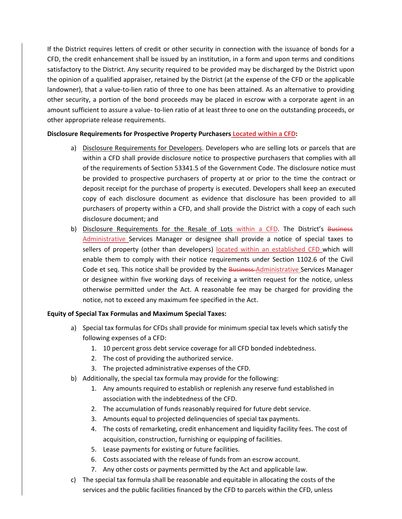If the District requires letters of credit or other security in connection with the issuance of bonds for a CFD, the credit enhancement shall be issued by an institution, in a form and upon terms and conditions satisfactory to the District. Any security required to be provided may be discharged by the District upon the opinion of a qualified appraiser, retained by the District (at the expense of the CFD or the applicable landowner), that a value-to-lien ratio of three to one has been attained. As an alternative to providing other security, a portion of the bond proceeds may be placed in escrow with a corporate agent in an amount sufficient to assure a value- to-lien ratio of at least three to one on the outstanding proceeds, or other appropriate release requirements.

#### **Disclosure Requirements for Prospective Property Purchasers Located within a CFD:**

- a) Disclosure Requirements for Developers. Developers who are selling lots or parcels that are within a CFD shall provide disclosure notice to prospective purchasers that complies with all of the requirements of Section 53341.5 of the Government Code. The disclosure notice must be provided to prospective purchasers of property at or prior to the time the contract or deposit receipt for the purchase of property is executed. Developers shall keep an executed copy of each disclosure document as evidence that disclosure has been provided to all purchasers of property within a CFD, and shall provide the District with a copy of each such disclosure document; and
- b) Disclosure Requirements for the Resale of Lots within a CFD. The District's Business Administrative Services Manager or designee shall provide a notice of special taxes to sellers of property (other than developers) located within an established CFD which will enable them to comply with their notice requirements under Section 1102.6 of the Civil Code et seq. This notice shall be provided by the Business Administrative Services Manager or designee within five working days of receiving a written request for the notice, unless otherwise permitted under the Act. A reasonable fee may be charged for providing the notice, not to exceed any maximum fee specified in the Act.

### **Equity of Special Tax Formulas and Maximum Special Taxes:**

- a) Special tax formulas for CFDs shall provide for minimum special tax levels which satisfy the following expenses of a CFD:
	- 1. 10 percent gross debt service coverage for all CFD bonded indebtedness.
	- 2. The cost of providing the authorized service.
	- 3. The projected administrative expenses of the CFD.
- b) Additionally, the special tax formula may provide for the following:
	- 1. Any amounts required to establish or replenish any reserve fund established in association with the indebtedness of the CFD.
	- 2. The accumulation of funds reasonably required for future debt service.
	- 3. Amounts equal to projected delinquencies of special tax payments.
	- 4. The costs of remarketing, credit enhancement and liquidity facility fees. The cost of acquisition, construction, furnishing or equipping of facilities.
	- 5. Lease payments for existing or future facilities.
	- 6. Costs associated with the release of funds from an escrow account.
	- 7. Any other costs or payments permitted by the Act and applicable law.
- c) The special tax formula shall be reasonable and equitable in allocating the costs of the services and the public facilities financed by the CFD to parcels within the CFD, unless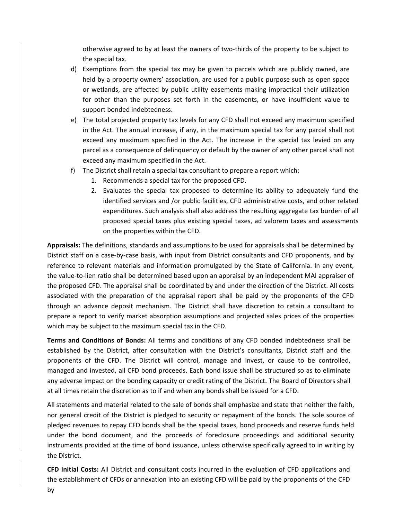otherwise agreed to by at least the owners of two‐thirds of the property to be subject to the special tax.

- d) Exemptions from the special tax may be given to parcels which are publicly owned, are held by a property owners' association, are used for a public purpose such as open space or wetlands, are affected by public utility easements making impractical their utilization for other than the purposes set forth in the easements, or have insufficient value to support bonded indebtedness.
- e) The total projected property tax levels for any CFD shall not exceed any maximum specified in the Act. The annual increase, if any, in the maximum special tax for any parcel shall not exceed any maximum specified in the Act. The increase in the special tax levied on any parcel as a consequence of delinquency or default by the owner of any other parcel shall not exceed any maximum specified in the Act.
- f) The District shall retain a special tax consultant to prepare a report which:
	- 1. Recommends a special tax for the proposed CFD.
	- 2. Evaluates the special tax proposed to determine its ability to adequately fund the identified services and /or public facilities, CFD administrative costs, and other related expenditures. Such analysis shall also address the resulting aggregate tax burden of all proposed special taxes plus existing special taxes, ad valorem taxes and assessments on the properties within the CFD.

**Appraisals:** The definitions, standards and assumptions to be used for appraisals shall be determined by District staff on a case-by-case basis, with input from District consultants and CFD proponents, and by reference to relevant materials and information promulgated by the State of California. In any event, the value‐to‐lien ratio shall be determined based upon an appraisal by an independent MAI appraiser of the proposed CFD. The appraisal shall be coordinated by and under the direction of the District. All costs associated with the preparation of the appraisal report shall be paid by the proponents of the CFD through an advance deposit mechanism. The District shall have discretion to retain a consultant to prepare a report to verify market absorption assumptions and projected sales prices of the properties which may be subject to the maximum special tax in the CFD.

**Terms and Conditions of Bonds:** All terms and conditions of any CFD bonded indebtedness shall be established by the District, after consultation with the District's consultants, District staff and the proponents of the CFD. The District will control, manage and invest, or cause to be controlled, managed and invested, all CFD bond proceeds. Each bond issue shall be structured so as to eliminate any adverse impact on the bonding capacity or credit rating of the District. The Board of Directors shall at all times retain the discretion as to if and when any bonds shall be issued for a CFD.

All statements and material related to the sale of bonds shall emphasize and state that neither the faith, nor general credit of the District is pledged to security or repayment of the bonds. The sole source of pledged revenues to repay CFD bonds shall be the special taxes, bond proceeds and reserve funds held under the bond document, and the proceeds of foreclosure proceedings and additional security instruments provided at the time of bond issuance, unless otherwise specifically agreed to in writing by the District.

**CFD Initial Costs:** All District and consultant costs incurred in the evaluation of CFD applications and the establishment of CFDs or annexation into an existing CFD will be paid by the proponents of the CFD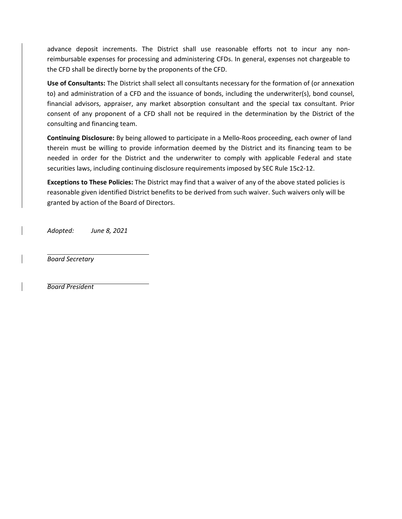advance deposit increments. The District shall use reasonable efforts not to incur any non‐ reimbursable expenses for processing and administering CFDs. In general, expenses not chargeable to the CFD shall be directly borne by the proponents of the CFD.

**Use of Consultants:** The District shall select all consultants necessary for the formation of (or annexation to) and administration of a CFD and the issuance of bonds, including the underwriter(s), bond counsel, financial advisors, appraiser, any market absorption consultant and the special tax consultant. Prior consent of any proponent of a CFD shall not be required in the determination by the District of the consulting and financing team.

**Continuing Disclosure:** By being allowed to participate in a Mello‐Roos proceeding, each owner of land therein must be willing to provide information deemed by the District and its financing team to be needed in order for the District and the underwriter to comply with applicable Federal and state securities laws, including continuing disclosure requirements imposed by SEC Rule 15c2-12.

**Exceptions to These Policies:** The District may find that a waiver of any of the above stated policies is reasonable given identified District benefits to be derived from such waiver. Such waivers only will be granted by action of the Board of Directors.

*Adopted: June 8, 2021*

*Board Secretary*

*Board President*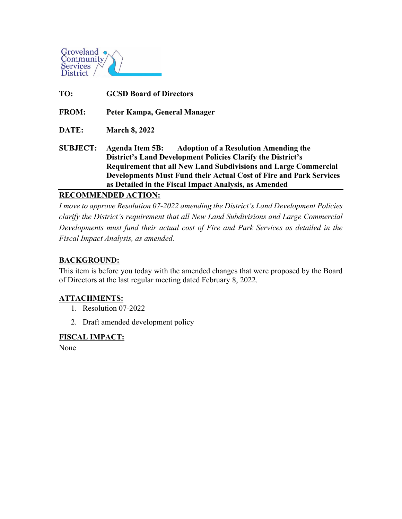

**TO: GCSD Board of Directors FROM: Peter Kampa, General Manager DATE: March 8, 2022 SUBJECT: Agenda Item 5B: Adoption of a Resolution Amending the District's Land Development Policies Clarify the District's Requirement that all New Land Subdivisions and Large Commercial Developments Must Fund their Actual Cost of Fire and Park Services as Detailed in the Fiscal Impact Analysis, as Amended**

**RECOMMENDED ACTION:**

*I move to approve Resolution 07-2022 amending the District's Land Development Policies clarify the District's requirement that all New Land Subdivisions and Large Commercial Developments must fund their actual cost of Fire and Park Services as detailed in the Fiscal Impact Analysis, as amended.*

## **BACKGROUND:**

This item is before you today with the amended changes that were proposed by the Board of Directors at the last regular meeting dated February 8, 2022.

### **ATTACHMENTS:**

- 1. Resolution 07-2022
- 2. Draft amended development policy

### **FISCAL IMPACT:**

None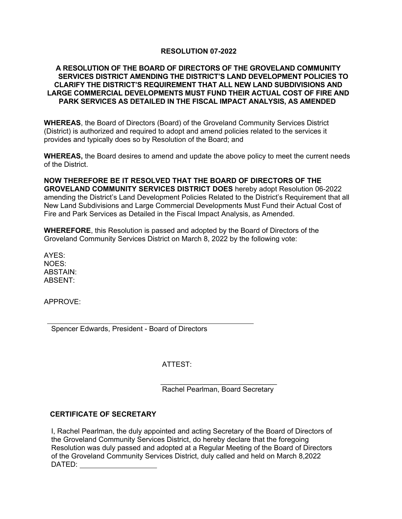### **RESOLUTION 07-2022**

### **A RESOLUTION OF THE BOARD OF DIRECTORS OF THE GROVELAND COMMUNITY SERVICES DISTRICT AMENDING THE DISTRICT'S LAND DEVELOPMENT POLICIES TO CLARIFY THE DISTRICT'S REQUIREMENT THAT ALL NEW LAND SUBDIVISIONS AND LARGE COMMERCIAL DEVELOPMENTS MUST FUND THEIR ACTUAL COST OF FIRE AND PARK SERVICES AS DETAILED IN THE FISCAL IMPACT ANALYSIS, AS AMENDED**

**WHEREAS**, the Board of Directors (Board) of the Groveland Community Services District (District) is authorized and required to adopt and amend policies related to the services it provides and typically does so by Resolution of the Board; and

**WHEREAS,** the Board desires to amend and update the above policy to meet the current needs of the District.

**NOW THEREFORE BE IT RESOLVED THAT THE BOARD OF DIRECTORS OF THE GROVELAND COMMUNITY SERVICES DISTRICT DOES** hereby adopt Resolution 06-2022 amending the District's Land Development Policies Related to the District's Requirement that all New Land Subdivisions and Large Commercial Developments Must Fund their Actual Cost of Fire and Park Services as Detailed in the Fiscal Impact Analysis, as Amended.

**WHEREFORE**, this Resolution is passed and adopted by the Board of Directors of the Groveland Community Services District on March 8, 2022 by the following vote:

AYES: NOES: ABSTAIN: ABSENT:

APPROVE:

Spencer Edwards, President - Board of Directors

ATTEST:

 \_\_\_\_\_\_\_\_\_\_\_\_\_\_\_\_\_\_\_\_\_\_\_\_\_\_\_\_\_ Rachel Pearlman, Board Secretary

### **CERTIFICATE OF SECRETARY**

I, Rachel Pearlman, the duly appointed and acting Secretary of the Board of Directors of the Groveland Community Services District, do hereby declare that the foregoing Resolution was duly passed and adopted at a Regular Meeting of the Board of Directors of the Groveland Community Services District, duly called and held on March 8,2022 DATED: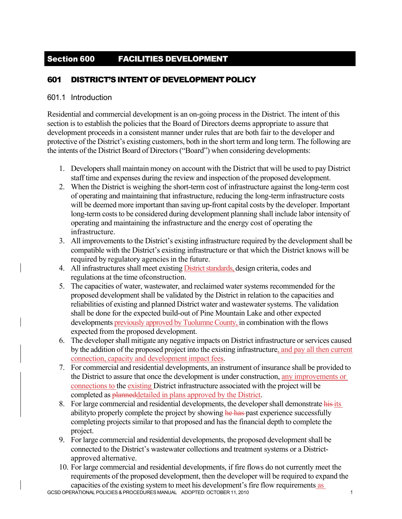# Section 600 FACILITIES DEVELOPMENT

# 601 DISTRICT'S INTENT OF DEVELOPMENT POLICY

### 601.1 Introduction

Residential and commercial development is an on-going process in the District. The intent of this section is to establish the policies that the Board of Directors deems appropriate to assure that development proceeds in a consistent manner under rules that are both fair to the developer and protective of the District's existing customers, both in the short term and long term. The following are the intents of the District Board of Directors ("Board") when considering developments:

- 1. Developers shall maintain money on account with the District that will be used to pay District staff time and expenses during the review and inspection of the proposed development.
- 2. When the District is weighing the short-term cost of infrastructure against the long-term cost of operating and maintaining that infrastructure, reducing the long-term infrastructure costs will be deemed more important than saving up-front capital costs by the developer. Important long-term costs to be considered during development planning shall include labor intensity of operating and maintaining the infrastructure and the energy cost of operating the infrastructure.
- 3. All improvements to the District's existing infrastructure required by the development shall be compatible with the District's existing infrastructure or that which the District knows will be required by regulatory agencies in the future.
- 4. All infrastructures shall meet existing **District standards**, design criteria, codes and regulations at the time of construction.
- 5. The capacities of water, wastewater, and reclaimed water systems recommended for the proposed development shall be validated by the District in relation to the capacities and reliabilities of existing and planned District water and wastewater systems. The validation shall be done for the expected build-out of Pine Mountain Lake and other expected developments previously approved by Tuolumne County, in combination with the flows expected from the proposed development.
- 6. The developer shall mitigate any negative impacts on District infrastructure or services caused by the addition of the proposed project into the existing infrastructure, and pay all then current connection, capacity and development impact fees.
- 7. For commercial and residential developments, an instrument of insurance shall be provided to the District to assure that once the development is under construction, any improvements or connections to the existing District infrastructure associated with the project will be completed as **planned** detailed in plans approved by the District.
- 8. For large commercial and residential developments, the developer shall demonstrate his its ability to properly complete the project by showing he has past experience successfully completing projects similar to that proposed and has the financial depth to complete the project.
- 9. For large commercial and residential developments, the proposed development shall be connected to the District's wastewater collections and treatment systems or a Districtapproved alternative.
- GCSD OPERATIONAL POLICIES & PROCEDURES MANUAL ADOPTED: OCTOBER 11, 2010 10. For large commercial and residential developments, if fire flows do not currently meet the requirements of the proposed development, then the developer will be required to expand the capacities of the existing system to meet his development's fire flow requirements as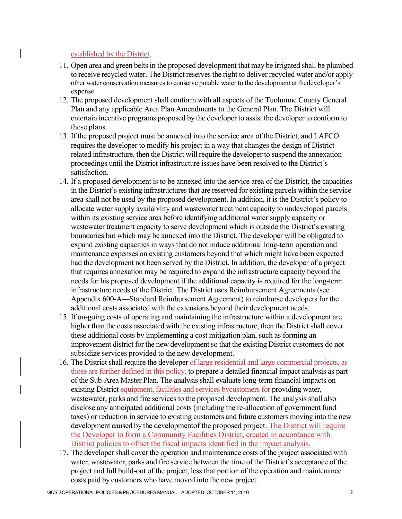### established by the District.

- 11. Open area and green belts in the proposed development that may be irrigated shall be plumbed to receive recycled water. The District reserves the right to deliver recycled water and/or apply other water conservation measures to conserve potable water to the development at the developer's expense.
- 12. The proposed development shall conform with all aspects of the Tuolumne County General Plan and any applicable Area Plan Amendments to the General Plan. The District will entertain incentive programs proposed by the developer to assist the developer to conform to these plans.
- 13. If the proposed project must be annexed into the service area of the District, and LAFCO requires the developer to modify his project in a way that changes the design of Districtrelated infrastructure, then the District will require the developer to suspend the annexation proceedings until the District infrastructure issues have been resolved to the District's satisfaction.
- 14. If a proposed development is to be annexed into the service area of the District, the capacities in the District's existing infrastructures that are reserved for existing parcels within the service area shall not be used by the proposed development. In addition, it is the District's policy to allocate water supply availability and wastewater treatment capacity to undeveloped parcels within its existing service area before identifying additional water supply capacity or wastewater treatment capacity to serve development which is outside the District's existing boundaries but which may be annexed into the District. The developer will be obligated to expand existing capacities in ways that do not induce additional long-term operation and maintenance expenses on existing customers beyond that which might have been expected had the development not been served by the District. In addition, the developer of a project that requires annexation may be required to expand the infrastructure capacity beyond the needs for his proposed development if the additional capacity is required for the long-term infrastructure needs of the District. The District uses Reimbursement Agreements (see Appendix 600-A—Standard Reimbursement Agreement) to reimburse developers for the additional costs associated with the extensions beyond their development needs.
- 15. If on-going costs of operating and maintaining the infrastructure within a development are higher than the costs associated with the existing infrastructure, then the District shall cover these additional costs by implementing a cost mitigation plan, such as forming an improvement district for the new development so that the existing District customers do not subsidize services provided to the new development.
- 16. The District shall require the developer of large residential and large commercial projects, as those are further defined in this policy, to prepare a detailed financial impact analysis as part of the Sub-Area Master Plan. The analysis shall evaluate long-term financial impacts on existing District equipment, facilities and services by existences for providing water, wastewater, parks and fire services to the proposed development. The analysis shall also disclose any anticipated additional costs (including the re-allocation of government fund taxes) or reduction in service to existing customers and future customers moving into the new development caused by the development of the proposed project. The District will require the Developer to form a Community Facilities District, created in accordance with District policies to offset the fiscal impacts identified in the impact analysis.
- 17. The developer shall cover the operation and maintenance costs of the project associated with water, wastewater, parks and fire service between the time of the District's acceptance of the project and full build-out of the project, less that portion of the operation and maintenance costs paid by customers who have moved into the new project.